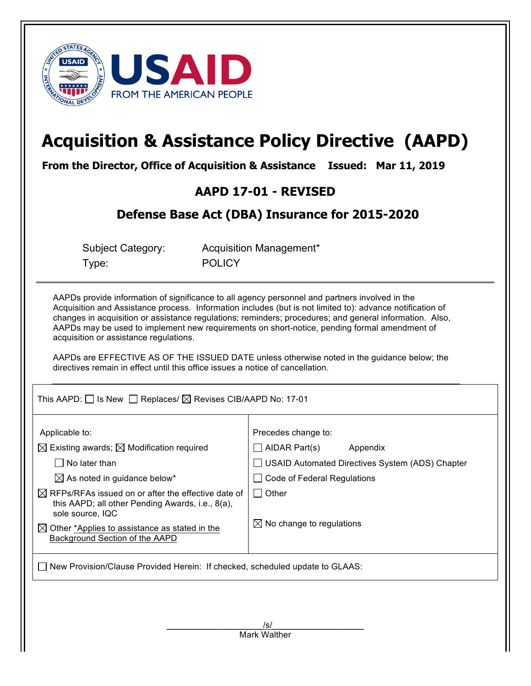

# **Acquisition & Assistance Policy Directive (AAPD)**

**From the Director, Office of Acquisition & Assistance Issued: Mar 11, 2019**

## **AAPD 17-01 - REVISED**

## **Defense Base Act (DBA) Insurance for 2015-2020**

| Subject Category: |  |
|-------------------|--|
| Type:             |  |

Acquisition Management\* **POLICY** 

AAPDs provide information of significance to all agency personnel and partners involved in the Acquisition and Assistance process. Information includes (but is not limited to): advance notification of changes in acquisition or assistance regulations; reminders; procedures; and general information. Also, AAPDs may be used to implement new requirements on short-notice, pending formal amendment of acquisition or assistance regulations.

AAPDs are EFFECTIVE AS OF THE ISSUED DATE unless otherwise noted in the guidance below; the directives remain in effect until this office issues a notice of cancellation.

This AAPD:  $\Box$  Is New  $\Box$  Replaces/  $\boxtimes$  Revises CIB/AAPD No: 17-01

| Applicable to:<br>$\boxtimes$ Existing awards; $\boxtimes$ Modification required<br>No later than<br>$\boxtimes$ As noted in guidance below*<br>$\boxtimes$ RFPs/RFAs issued on or after the effective date of<br>this AAPD; all other Pending Awards, i.e., 8(a),<br>sole source, IQC<br>$\boxtimes$ Other *Applies to assistance as stated in the<br>Background Section of the AAPD | Precedes change to:<br>∐ AIDAR Part(s)<br>Appendix<br><b>USAID Automated Directives System (ADS) Chapter</b><br>Code of Federal Regulations<br>Other<br>$\boxtimes$ No change to regulations |  |  |  |  |  |
|---------------------------------------------------------------------------------------------------------------------------------------------------------------------------------------------------------------------------------------------------------------------------------------------------------------------------------------------------------------------------------------|----------------------------------------------------------------------------------------------------------------------------------------------------------------------------------------------|--|--|--|--|--|
| New Provision/Clause Provided Herein: If checked, scheduled update to GLAAS:                                                                                                                                                                                                                                                                                                          |                                                                                                                                                                                              |  |  |  |  |  |
|                                                                                                                                                                                                                                                                                                                                                                                       |                                                                                                                                                                                              |  |  |  |  |  |
|                                                                                                                                                                                                                                                                                                                                                                                       | /s/                                                                                                                                                                                          |  |  |  |  |  |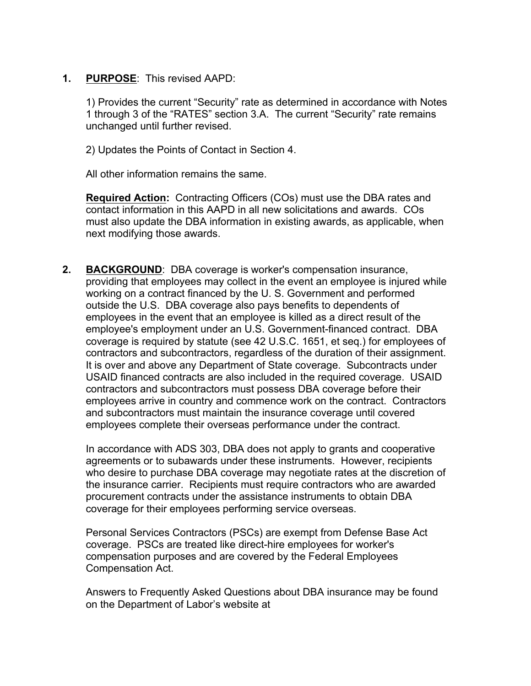**1. PURPOSE**: This revised AAPD:

1) Provides the current "Security" rate as determined in accordance with Notes 1 through 3 of the "RATES" section 3.A. The current "Security" rate remains unchanged until further revised.

2) Updates the Points of Contact in Section 4.

All other information remains the same.

**Required Action:** Contracting Officers (COs) must use the DBA rates and contact information in this AAPD in all new solicitations and awards. COs must also update the DBA information in existing awards, as applicable, when next modifying those awards.

**2. BACKGROUND**: DBA coverage is worker's compensation insurance, providing that employees may collect in the event an employee is injured while working on a contract financed by the U. S. Government and performed outside the U.S. DBA coverage also pays benefits to dependents of employees in the event that an employee is killed as a direct result of the employee's employment under an U.S. Government-financed contract. DBA coverage is required by statute (see 42 U.S.C. 1651, et seq.) for employees of contractors and subcontractors, regardless of the duration of their assignment. It is over and above any Department of State coverage. Subcontracts under USAID financed contracts are also included in the required coverage. USAID contractors and subcontractors must possess DBA coverage before their employees arrive in country and commence work on the contract. Contractors and subcontractors must maintain the insurance coverage until covered employees complete their overseas performance under the contract.

In accordance with ADS 303, DBA does not apply to grants and cooperative agreements or to subawards under these instruments. However, recipients who desire to purchase DBA coverage may negotiate rates at the discretion of the insurance carrier. Recipients must require contractors who are awarded procurement contracts under the assistance instruments to obtain DBA coverage for their employees performing service overseas.

Personal Services Contractors (PSCs) are exempt from Defense Base Act coverage. PSCs are treated like direct-hire employees for worker's compensation purposes and are covered by the Federal Employees Compensation Act.

Answers to Frequently Asked Questions about DBA insurance may be found on the Department of Labor's website at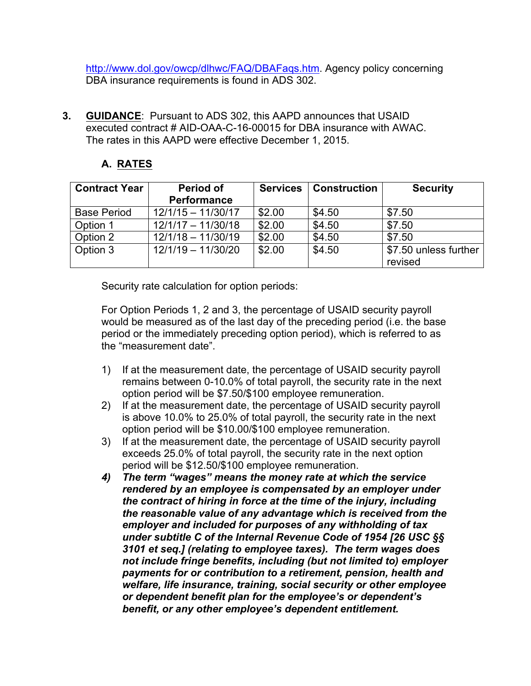http://www.dol.gov/owcp/dlhwc/FAQ/DBAFaqs.htm. Agency policy concerning DBA insurance requirements is found in ADS 302.

**3. GUIDANCE**: Pursuant to ADS 302, this AAPD announces that USAID executed contract # AID-OAA-C-16-00015 for DBA insurance with AWAC. The rates in this AAPD were effective December 1, 2015.

#### **A. RATES**

| <b>Contract Year</b> | Period of<br><b>Performance</b> | <b>Services</b> | <b>Construction</b> | <b>Security</b>       |
|----------------------|---------------------------------|-----------------|---------------------|-----------------------|
|                      |                                 |                 |                     |                       |
| <b>Base Period</b>   | $12/1/15 - 11/30/17$            | \$2.00          | \$4.50              | \$7.50                |
| Option 1             | $12/1/17 - 11/30/18$            | \$2.00          | \$4.50              | \$7.50                |
| Option 2             | $12/1/18 - 11/30/19$            | \$2.00          | \$4.50              | \$7.50                |
| Option 3             | 12/1/19 - 11/30/20              | \$2.00          | \$4.50              | \$7.50 unless further |
|                      |                                 |                 |                     | revised               |

Security rate calculation for option periods:

For Option Periods 1, 2 and 3, the percentage of USAID security payroll would be measured as of the last day of the preceding period (i.e. the base period or the immediately preceding option period), which is referred to as the "measurement date".

- 1) If at the measurement date, the percentage of USAID security payroll remains between 0-10.0% of total payroll, the security rate in the next option period will be \$7.50/\$100 employee remuneration.
- 2) If at the measurement date, the percentage of USAID security payroll is above 10.0% to 25.0% of total payroll, the security rate in the next option period will be \$10.00/\$100 employee remuneration.
- 3) If at the measurement date, the percentage of USAID security payroll exceeds 25.0% of total payroll, the security rate in the next option period will be \$12.50/\$100 employee remuneration.
- *4) The term "wages" means the money rate at which the service rendered by an employee is compensated by an employer under the contract of hiring in force at the time of the injury, including the reasonable value of any advantage which is received from the employer and included for purposes of any withholding of tax under subtitle C of the Internal Revenue Code of 1954 [26 USC §§ 3101 et seq.] (relating to employee taxes). The term wages does not include fringe benefits, including (but not limited to) employer payments for or contribution to a retirement, pension, health and welfare, life insurance, training, social security or other employee or dependent benefit plan for the employee's or dependent's benefit, or any other employee's dependent entitlement.*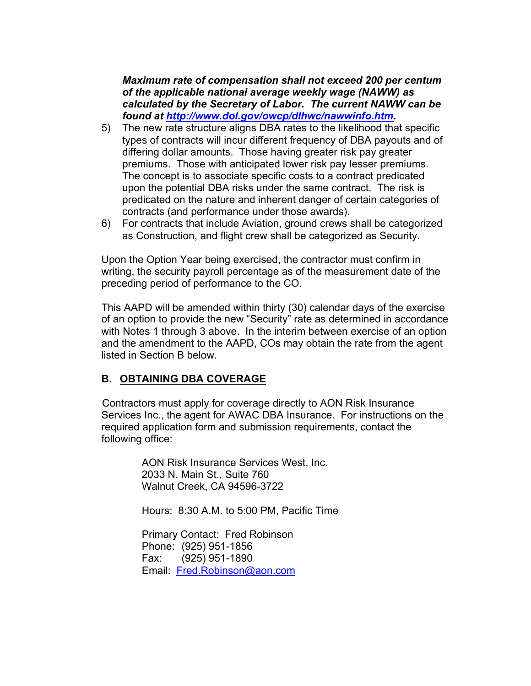*Maximum rate of compensation shall not exceed 200 per centum of the applicable national average weekly wage (NAWW) as calculated by the Secretary of Labor. The current NAWW can be found at http://www.dol.gov/owcp/dlhwc/nawwinfo.htm.*

- 5) The new rate structure aligns DBA rates to the likelihood that specific types of contracts will incur different frequency of DBA payouts and of differing dollar amounts. Those having greater risk pay greater premiums. Those with anticipated lower risk pay lesser premiums. The concept is to associate specific costs to a contract predicated upon the potential DBA risks under the same contract. The risk is predicated on the nature and inherent danger of certain categories of contracts (and performance under those awards).
- 6) For contracts that include Aviation, ground crews shall be categorized as Construction, and flight crew shall be categorized as Security.

Upon the Option Year being exercised, the contractor must confirm in writing, the security payroll percentage as of the measurement date of the preceding period of performance to the CO.

This AAPD will be amended within thirty (30) calendar days of the exercise of an option to provide the new "Security" rate as determined in accordance with Notes 1 through 3 above. In the interim between exercise of an option and the amendment to the AAPD, COs may obtain the rate from the agent listed in Section B below.

#### **B. OBTAINING DBA COVERAGE**

Contractors must apply for coverage directly to AON Risk Insurance Services Inc., the agent for AWAC DBA Insurance. For instructions on the required application form and submission requirements, contact the following office:

> AON Risk Insurance Services West, Inc. 2033 N. Main St., Suite 760 Walnut Creek, CA 94596-3722

Hours: 8:30 A.M. to 5:00 PM, Pacific Time

Primary Contact: Fred Robinson Phone: (925) 951-1856 Fax: (925) 951-1890 Email: Fred.Robinson@aon.com